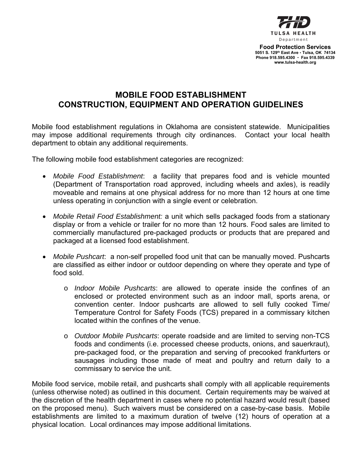

**Food Protection Services 5051 S. 129th East Ave Tulsa, OK 74134 Phone 918.595.4300 Fax 918.595.4339 www.tulsa-health.org** 

# **MOBILE FOOD ESTABLISHMENT CONSTRUCTION, EQUIPMENT AND OPERATION GUIDELINES**

Mobile food establishment regulations in Oklahoma are consistent statewide. Municipalities may impose additional requirements through city ordinances. Contact your local health department to obtain any additional requirements.

The following mobile food establishment categories are recognized:

- *Mobile Food Establishment*: a facility that prepares food and is vehicle mounted (Department of Transportation road approved, including wheels and axles), is readily moveable and remains at one physical address for no more than 12 hours at one time unless operating in conjunction with a single event or celebration.
- *Mobile Retail Food Establishment:* a unit which sells packaged foods from a stationary display or from a vehicle or trailer for no more than 12 hours. Food sales are limited to commercially manufactured pre-packaged products or products that are prepared and packaged at a licensed food establishment.
- *Mobile Pushcart*: a non-self propelled food unit that can be manually moved. Pushcarts are classified as either indoor or outdoor depending on where they operate and type of food sold.
	- o *Indoor Mobile Pushcarts*: are allowed to operate inside the confines of an enclosed or protected environment such as an indoor mall, sports arena, or convention center. Indoor pushcarts are allowed to sell fully cooked Time/ Temperature Control for Safety Foods (TCS) prepared in a commissary kitchen located within the confines of the venue.
	- o *Outdoor Mobile Pushcarts*: operate roadside and are limited to serving non-TCS foods and condiments (i.e. processed cheese products, onions, and sauerkraut), pre-packaged food, or the preparation and serving of precooked frankfurters or sausages including those made of meat and poultry and return daily to a commissary to service the unit.

Mobile food service, mobile retail, and pushcarts shall comply with all applicable requirements (unless otherwise noted) as outlined in this document. Certain requirements may be waived at the discretion of the health department in cases where no potential hazard would result (based on the proposed menu). Such waivers must be considered on a case-by-case basis. Mobile establishments are limited to a maximum duration of twelve (12) hours of operation at a physical location. Local ordinances may impose additional limitations.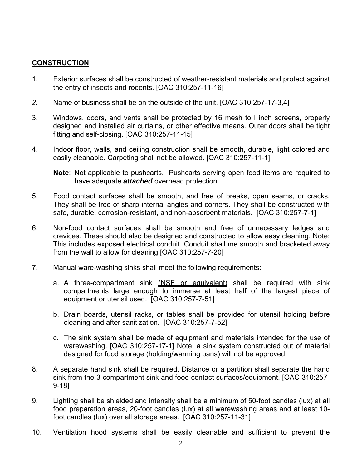## **CONSTRUCTION**

- 1. Exterior surfaces shall be constructed of weather-resistant materials and protect against the entry of insects and rodents. [OAC 310:257-11-16]
- *2.* Name of business shall be on the outside of the unit. [OAC 310:257-17-3,4]
- 3. Windows, doors, and vents shall be protected by 16 mesh to I inch screens, properly designed and installed air curtains, or other effective means. Outer doors shall be tight fitting and self-closing. [OAC 310:257-11-15]
- 4. Indoor floor, walls, and ceiling construction shall be smooth, durable, light colored and easily cleanable. Carpeting shall not be allowed. [OAC 310:257-11-1]

#### **Note**: Not applicable to pushcarts. Pushcarts serving open food items are required to have adequate *attached* overhead protection.

- 5. Food contact surfaces shall be smooth, and free of breaks, open seams, or cracks. They shall be free of sharp internal angles and corners. They shall be constructed with safe, durable, corrosion-resistant, and non-absorbent materials. [OAC 310:257-7-1]
- 6. Non-food contact surfaces shall be smooth and free of unnecessary ledges and crevices. These should also be designed and constructed to allow easy cleaning. Note: This includes exposed electrical conduit. Conduit shall me smooth and bracketed away from the wall to allow for cleaning [OAC 310:257-7-20]
- 7. Manual ware-washing sinks shall meet the following requirements:
	- a. A three-compartment sink (NSF or equivalent) shall be required with sink compartments large enough to immerse at least half of the largest piece of equipment or utensil used. [OAC 310:257-7-51]
	- b. Drain boards, utensil racks, or tables shall be provided for utensil holding before cleaning and after sanitization. [OAC 310:257-7-52]
	- c. The sink system shall be made of equipment and materials intended for the use of warewashing. [OAC 310:257-17-1] Note: a sink system constructed out of material designed for food storage (holding/warming pans) will not be approved.
- 8. A separate hand sink shall be required. Distance or a partition shall separate the hand sink from the 3-compartment sink and food contact surfaces/equipment. [OAC 310:257- 9-18]
- 9. Lighting shall be shielded and intensity shall be a minimum of 50-foot candles (lux) at all food preparation areas, 20-foot candles (lux) at all warewashing areas and at least 10 foot candles (lux) over all storage areas. [OAC 310:257-11-31]
- 10. Ventilation hood systems shall be easily cleanable and sufficient to prevent the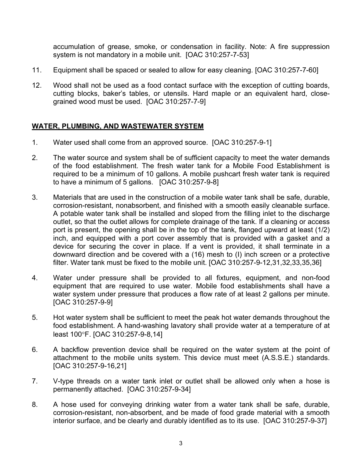accumulation of grease, smoke, or condensation in facility. Note: A fire suppression system is not mandatory in a mobile unit. [OAC 310:257-7-53]

- 11. Equipment shall be spaced or sealed to allow for easy cleaning. [OAC 310:257-7-60]
- 12. Wood shall not be used as a food contact surface with the exception of cutting boards, cutting blocks, baker's tables, or utensils. Hard maple or an equivalent hard, closegrained wood must be used. [OAC 310:257-7-9]

### **WATER, PLUMBING, AND WASTEWATER SYSTEM**

- 1. Water used shall come from an approved source. [OAC 310:257-9-1]
- 2. The water source and system shall be of sufficient capacity to meet the water demands of the food establishment. The fresh water tank for a Mobile Food Establishment is required to be a minimum of 10 gallons. A mobile pushcart fresh water tank is required to have a minimum of 5 gallons. [OAC 310:257-9-8]
- 3. Materials that are used in the construction of a mobile water tank shall be safe, durable, corrosion-resistant, nonabsorbent, and finished with a smooth easily cleanable surface. A potable water tank shall be installed and sloped from the filling inlet to the discharge outlet, so that the outlet allows for complete drainage of the tank. If a cleaning or access port is present, the opening shall be in the top of the tank, flanged upward at least (1/2) inch, and equipped with a port cover assembly that is provided with a gasket and a device for securing the cover in place. If a vent is provided, it shall terminate in a downward direction and be covered with a (16) mesh to (I) inch screen or a protective filter. Water tank must be fixed to the mobile unit. [OAC 310:257-9-12,31,32,33,35,36]
- 4. Water under pressure shall be provided to all fixtures, equipment, and non-food equipment that are required to use water. Mobile food establishments shall have a water system under pressure that produces a flow rate of at least 2 gallons per minute. [OAC 310:257-9-9]
- 5. Hot water system shall be sufficient to meet the peak hot water demands throughout the food establishment. A hand-washing lavatory shall provide water at a temperature of at least 100°F. [OAC 310:257-9-8,14]
- 6. A backflow prevention device shall be required on the water system at the point of attachment to the mobile units system. This device must meet (A.S.S.E.) standards. [OAC 310:257-9-16,21]
- 7. V-type threads on a water tank inlet or outlet shall be allowed only when a hose is permanently attached. [OAC 310:257-9-34]
- 8. A hose used for conveying drinking water from a water tank shall be safe, durable, corrosion-resistant, non-absorbent, and be made of food grade material with a smooth interior surface, and be clearly and durably identified as to its use. [OAC 310:257-9-37]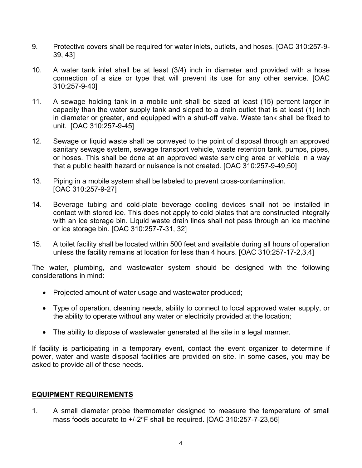- 9. Protective covers shall be required for water inlets, outlets, and hoses. [OAC 310:257-9- 39, 43]
- 10. A water tank inlet shall be at least (3/4) inch in diameter and provided with a hose connection of a size or type that will prevent its use for any other service. [OAC 310:257-9-40]
- 11. A sewage holding tank in a mobile unit shall be sized at least (15) percent larger in capacity than the water supply tank and sloped to a drain outlet that is at least (1) inch in diameter or greater, and equipped with a shut-off valve. Waste tank shall be fixed to unit. [OAC 310:257-9-45]
- 12. Sewage or liquid waste shall be conveyed to the point of disposal through an approved sanitary sewage system, sewage transport vehicle, waste retention tank, pumps, pipes, or hoses. This shall be done at an approved waste servicing area or vehicle in a way that a public health hazard or nuisance is not created. [OAC 310:257-9-49,50]
- 13. Piping in a mobile system shall be labeled to prevent cross-contamination. [OAC 310:257-9-27]
- 14. Beverage tubing and cold-plate beverage cooling devices shall not be installed in contact with stored ice. This does not apply to cold plates that are constructed integrally with an ice storage bin. Liquid waste drain lines shall not pass through an ice machine or ice storage bin. [OAC 310:257-7-31, 32]
- 15. A toilet facility shall be located within 500 feet and available during all hours of operation unless the facility remains at location for less than 4 hours. [OAC 310:257-17-2,3,4]

The water, plumbing, and wastewater system should be designed with the following considerations in mind:

- Projected amount of water usage and wastewater produced;
- Type of operation, cleaning needs, ability to connect to local approved water supply, or the ability to operate without any water or electricity provided at the location;
- The ability to dispose of wastewater generated at the site in a legal manner.

If facility is participating in a temporary event, contact the event organizer to determine if power, water and waste disposal facilities are provided on site. In some cases, you may be asked to provide all of these needs.

#### **EQUIPMENT REQUIREMENTS**

1. A small diameter probe thermometer designed to measure the temperature of small mass foods accurate to  $+/-2$ <sup>o</sup>F shall be required. [OAC 310:257-7-23,56]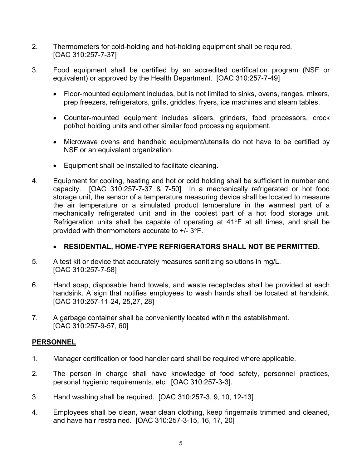- 2. Thermometers for cold-holding and hot-holding equipment shall be required. [OAC 310:257-7-37]
- 3. Food equipment shall be certified by an accredited certification program (NSF or equivalent) or approved by the Health Department. [OAC 310:257-7-49]
	- Floor-mounted equipment includes, but is not limited to sinks, ovens, ranges, mixers, prep freezers, refrigerators, grills, griddles, fryers, ice machines and steam tables.
	- Counter-mounted equipment includes slicers, grinders, food processors, crock pot/hot holding units and other similar food processing equipment.
	- Microwave ovens and handheld equipment/utensils do not have to be certified by NSF or an equivalent organization.
	- Equipment shall be installed to facilitate cleaning.
- 4. Equipment for cooling, heating and hot or cold holding shall be sufficient in number and capacity. [OAC 310:257-7-37 & 7-50] In a mechanically refrigerated or hot food storage unit, the sensor of a temperature measuring device shall be located to measure the air temperature or a simulated product temperature in the warmest part of a mechanically refrigerated unit and in the coolest part of a hot food storage unit. Refrigeration units shall be capable of operating at  $41^{\circ}F$  at all times, and shall be provided with thermometers accurate to  $+/-3$ <sup>o</sup>F.

# **RESIDENTIAL, HOME-TYPE REFRIGERATORS SHALL NOT BE PERMITTED.**

- 5. A test kit or device that accurately measures sanitizing solutions in mg/L. [OAC 310:257-7-58]
- 6. Hand soap, disposable hand towels, and waste receptacles shall be provided at each handsink. A sign that notifies employees to wash hands shall be located at handsink. [OAC 310:257-11-24, 25,27, 28]
- 7. A garbage container shall be conveniently located within the establishment. [OAC 310:257-9-57, 60]

# **PERSONNEL**

- 1. Manager certification or food handler card shall be required where applicable.
- 2. The person in charge shall have knowledge of food safety, personnel practices, personal hygienic requirements, etc. [OAC 310:257-3-3].
- 3. Hand washing shall be required. [OAC 310:257-3, 9, 10, 12-13]
- 4. Employees shall be clean, wear clean clothing, keep fingernails trimmed and cleaned, and have hair restrained. [OAC 310:257-3-15, 16, 17, 20]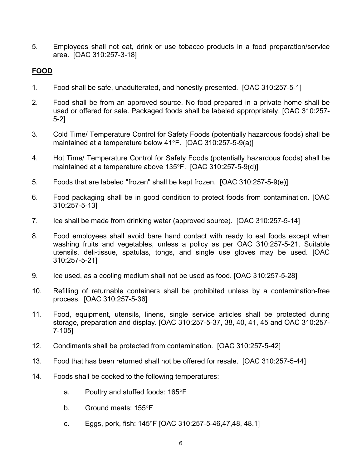5. Employees shall not eat, drink or use tobacco products in a food preparation/service area. [OAC 310:257-3-18]

## **FOOD**

- 1. Food shall be safe, unadulterated, and honestly presented. [OAC 310:257-5-1]
- 2. Food shall be from an approved source. No food prepared in a private home shall be used or offered for sale. Packaged foods shall be labeled appropriately. [OAC 310:257- 5-2]
- 3. Cold Time/ Temperature Control for Safety Foods (potentially hazardous foods) shall be maintained at a temperature below  $41^{\circ}$ F. [OAC 310:257-5-9(a)]
- 4. Hot Time/ Temperature Control for Safety Foods (potentially hazardous foods) shall be maintained at a temperature above 135°F. IOAC 310:257-5-9(d)]
- 5. Foods that are labeled "frozen" shall be kept frozen. [OAC 310:257-5-9(e)]
- 6. Food packaging shall be in good condition to protect foods from contamination. [OAC 310:257-5-13]
- 7. Ice shall be made from drinking water (approved source). [OAC 310:257-5-14]
- 8. Food employees shall avoid bare hand contact with ready to eat foods except when washing fruits and vegetables, unless a policy as per OAC 310:257-5-21. Suitable utensils, deli-tissue, spatulas, tongs, and single use gloves may be used. [OAC 310:257-5-21]
- 9. Ice used, as a cooling medium shall not be used as food. [OAC 310:257-5-28]
- 10. Refilling of returnable containers shall be prohibited unless by a contamination-free process. [OAC 310:257-5-36]
- 11. Food, equipment, utensils, linens, single service articles shall be protected during storage, preparation and display. [OAC 310:257-5-37, 38, 40, 41, 45 and OAC 310:257- 7-105]
- 12. Condiments shall be protected from contamination. [OAC 310:257-5-42]
- 13. Food that has been returned shall not be offered for resale. [OAC 310:257-5-44]
- 14. Foods shall be cooked to the following temperatures:
	- a. Poultry and stuffed foods: 165°F
	- b. Ground meats: 155°F
	- c. Eggs, pork, fish: 145°F [OAC 310:257-5-46,47,48, 48.1]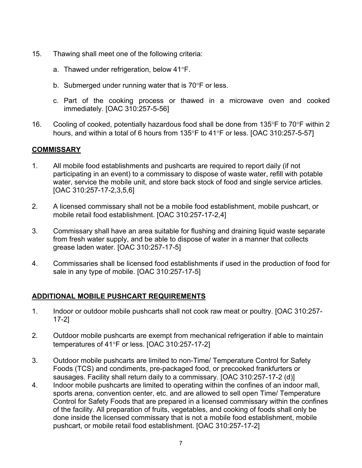- 15. Thawing shall meet one of the following criteria:
	- a. Thawed under refrigeration, below  $41^{\circ}$ F.
	- b. Submerged under running water that is  $70^{\circ}$ F or less.
	- c. Part of the cooking process or thawed in a microwave oven and cooked immediately. [OAC 310:257-5-56]
- 16. Cooling of cooked, potentially hazardous food shall be done from 135 $\degree$ F to 70 $\degree$ F within 2 hours, and within a total of 6 hours from  $135^{\circ}$ F to  $41^{\circ}$ F or less. [OAC 310:257-5-57]

#### **COMMISSARY**

- 1. All mobile food establishments and pushcarts are required to report daily (if not participating in an event) to a commissary to dispose of waste water, refill with potable water, service the mobile unit, and store back stock of food and single service articles. [OAC 310:257-17-2,3,5,6]
- 2. A licensed commissary shall not be a mobile food establishment, mobile pushcart, or mobile retail food establishment. [OAC 310:257-17-2,4]
- 3. Commissary shall have an area suitable for flushing and draining liquid waste separate from fresh water supply, and be able to dispose of water in a manner that collects grease laden water. [OAC 310:257-17-5]
- 4. Commissaries shall be licensed food establishments if used in the production of food for sale in any type of mobile. [OAC 310:257-17-5]

### **ADDITIONAL MOBILE PUSHCART REQUIREMENTS**

- 1. Indoor or outdoor mobile pushcarts shall not cook raw meat or poultry. [OAC 310:257- 17-2]
- 2. Outdoor mobile pushcarts are exempt from mechanical refrigeration if able to maintain temperatures of  $41^{\circ}$ F or less. [OAC 310:257-17-2]
- 3. Outdoor mobile pushcarts are limited to non-Time/ Temperature Control for Safety Foods (TCS) and condiments, pre-packaged food, or precooked frankfurters or sausages. Facility shall return daily to a commissary. [OAC 310:257-17-2 (d)]
- 4. Indoor mobile pushcarts are limited to operating within the confines of an indoor mall, sports arena, convention center, etc. and are allowed to sell open Time/ Temperature Control for Safety Foods that are prepared in a licensed commissary within the confines of the facility. All preparation of fruits, vegetables, and cooking of foods shall only be done inside the licensed commissary that is not a mobile food establishment, mobile pushcart, or mobile retail food establishment. [OAC 310:257-17-2]